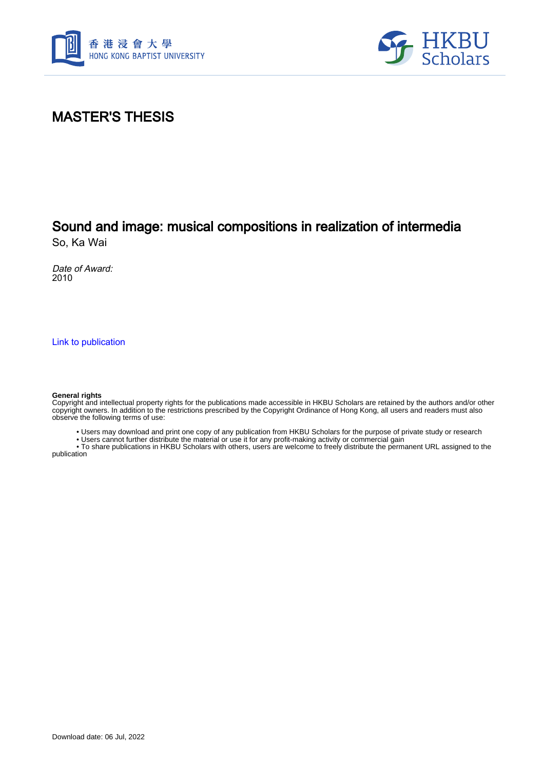



### MASTER'S THESIS

# Sound and image: musical compositions in realization of intermedia

So, Ka Wai

Date of Award: 2010

[Link to publication](https://scholars.hkbu.edu.hk/en/studentTheses/d612a867-21da-4b52-83a6-a2dd387c1f9a)

#### **General rights**

Copyright and intellectual property rights for the publications made accessible in HKBU Scholars are retained by the authors and/or other copyright owners. In addition to the restrictions prescribed by the Copyright Ordinance of Hong Kong, all users and readers must also observe the following terms of use:

• Users may download and print one copy of any publication from HKBU Scholars for the purpose of private study or research

• Users cannot further distribute the material or use it for any profit-making activity or commercial gain

 • To share publications in HKBU Scholars with others, users are welcome to freely distribute the permanent URL assigned to the publication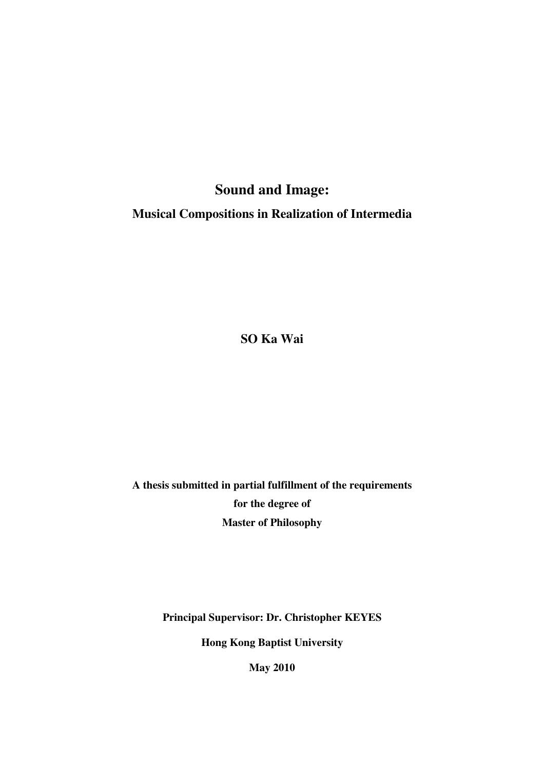## **Sound and Image:**

**Musical Compositions in Realization of Intermedia** 

**SO Ka Wai** 

**A thesis submitted in partial fulfillment of the requirements for the degree of Master of Philosophy** 

**Principal Supervisor: Dr. Christopher KEYES** 

**Hong Kong Baptist University** 

**May 2010**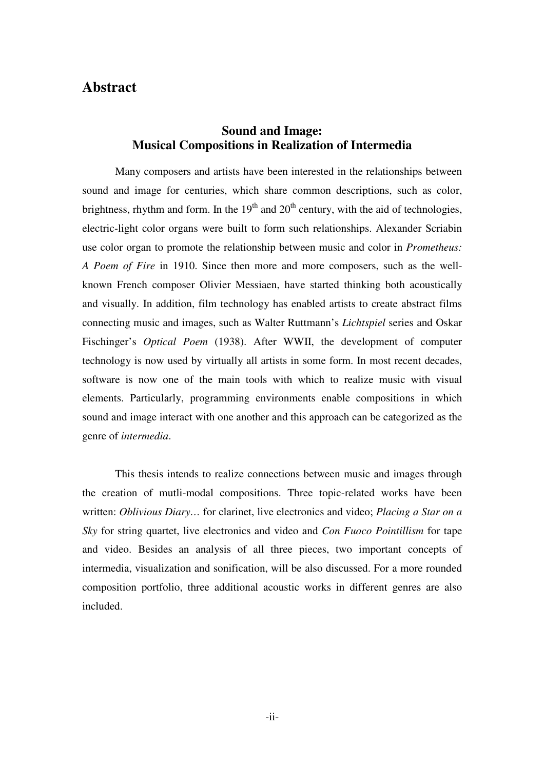#### **Abstract**

#### **Sound and Image: Musical Compositions in Realization of Intermedia**

Many composers and artists have been interested in the relationships between sound and image for centuries, which share common descriptions, such as color, brightness, rhythm and form. In the  $19<sup>th</sup>$  and  $20<sup>th</sup>$  century, with the aid of technologies, electric-light color organs were built to form such relationships. Alexander Scriabin use color organ to promote the relationship between music and color in *Prometheus: A Poem of Fire* in 1910. Since then more and more composers, such as the wellknown French composer Olivier Messiaen, have started thinking both acoustically and visually. In addition, film technology has enabled artists to create abstract films connecting music and images, such as Walter Ruttmann's *Lichtspiel* series and Oskar Fischinger's *Optical Poem* (1938). After WWII, the development of computer technology is now used by virtually all artists in some form. In most recent decades, software is now one of the main tools with which to realize music with visual elements. Particularly, programming environments enable compositions in which sound and image interact with one another and this approach can be categorized as the genre of *intermedia*.

This thesis intends to realize connections between music and images through the creation of mutli-modal compositions. Three topic-related works have been written: *Oblivious Diary…* for clarinet, live electronics and video; *Placing a Star on a Sky* for string quartet, live electronics and video and *Con Fuoco Pointillism* for tape and video. Besides an analysis of all three pieces, two important concepts of intermedia, visualization and sonification, will be also discussed. For a more rounded composition portfolio, three additional acoustic works in different genres are also included.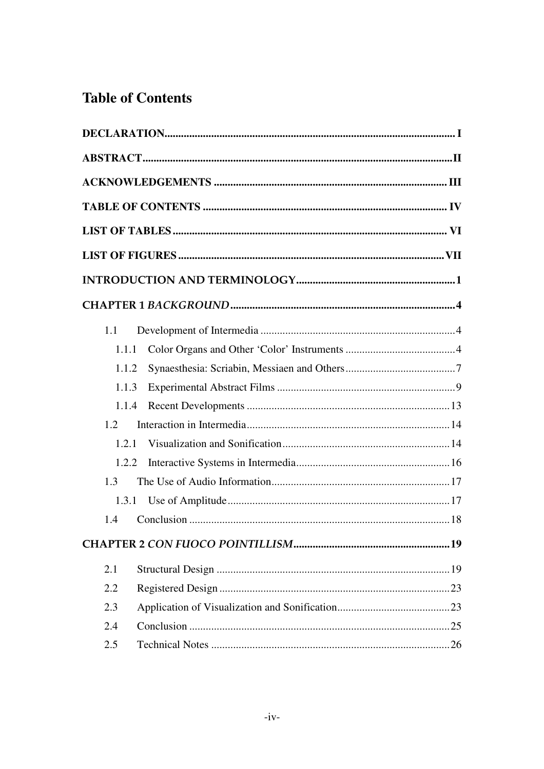## **Table of Contents**

| 1.1   |       |  |
|-------|-------|--|
|       | 1.1.1 |  |
|       | 1.1.2 |  |
|       | 1.1.3 |  |
|       | 1.1.4 |  |
| 1.2   |       |  |
| 1.2.1 |       |  |
|       | 1.2.2 |  |
| 1.3   |       |  |
|       | 1.3.1 |  |
| 1.4   |       |  |
|       |       |  |
| 2.1   |       |  |
| 2.2   |       |  |
| 2.3   |       |  |
| 2.4   |       |  |
| 2.5   |       |  |